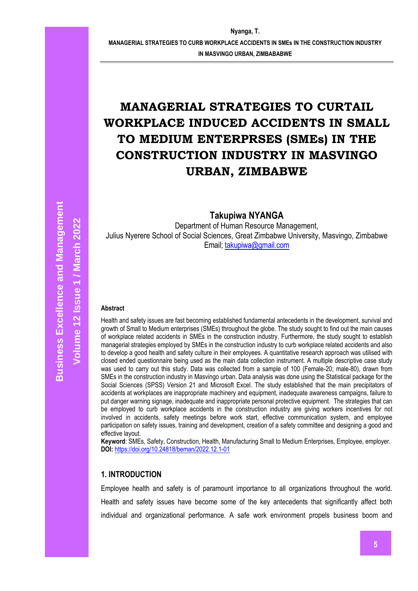# **MANAGERIAL STRATEGIES TO CURTAIL WORKPLACE INDUCED ACCIDENTS IN SMALL TO MEDIUM ENTERPRSES (SMEs) IN THE CONSTRUCTION INDUSTRY IN MASVINGO URBAN, ZIMBABWE**

**Takupiwa NYANGA**

Department of Human Resource Management, Julius Nyerere School of Social Sciences, Great Zimbabwe University, Masvingo, Zimbabwe Email; [takupiwa@gmail.com](mailto:takupiwa@gmail.com)

#### **Abstract**

Health and safety issues are fast becoming established fundamental antecedents in the development, survival and growth of Small to Medium enterprises (SMEs) throughout the globe. The study sought to find out the main causes of workplace related accidents in SMEs in the construction industry. Furthermore, the study sought to establish managerial strategies employed by SMEs in the construction industry to curb workplace related accidents and also to develop a good health and safety culture in their employees. A quantitative research approach was utilised with closed ended questionnaire being used as the main data collection instrument. A multiple descriptive case study was used to carry out this study. Data was collected from a sample of 100 (Female-20; male-80), drawn from SMEs in the construction industry in Masvingo urban. Data analysis was done using the Statistical package for the Social Sciences (SPSS) Version 21 and Microsoft Excel. The study established that the main precipitators of accidents at workplaces are inappropriate machinery and equipment, inadequate awareness campaigns, failure to put danger warning signage, inadequate and inappropriate personal protective equipment. The strategies that can be employed to curb workplace accidents in the construction industry are giving workers incentives for not involved in accidents, safety meetings before work start, effective communication system, and employee participation on safety issues, training and development, creation of a safety committee and designing a good and effective layout.

**Keyword**: SMEs, Safety, Construction, Health, Manufacturing Small to Medium Enterprises, Employee, employer. **DOI:** <https://doi.org/10.24818/beman/2022.12.1-01>

### **1. INTRODUCTION**

Employee health and safety is of paramount importance to all organizations throughout the world. Health and safety issues have become some of the key antecedents that significantly affect both individual and organizational performance. A safe work environment propels business boom and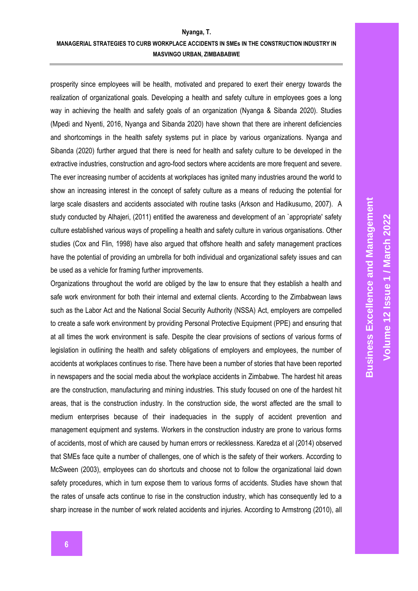prosperity since employees will be health, motivated and prepared to exert their energy towards the realization of organizational goals. Developing a health and safety culture in employees goes a long way in achieving the health and safety goals of an organization (Nyanga & Sibanda 2020). Studies (Mpedi and Nyenti, 2016, Nyanga and Sibanda 2020) have shown that there are inherent deficiencies and shortcomings in the health safety systems put in place by various organizations. Nyanga and Sibanda (2020) further argued that there is need for health and safety culture to be developed in the extractive industries, construction and agro-food sectors where accidents are more frequent and severe. The ever increasing number of accidents at workplaces has ignited many industries around the world to show an increasing interest in the concept of safety culture as a means of reducing the potential for large scale disasters and accidents associated with routine tasks (Arkson and Hadikusumo, 2007). A study conducted by Alhajeri, (2011) entitled the awareness and development of an `appropriate' safety culture established various ways of propelling a health and safety culture in various organisations. Other studies (Cox and Flin, 1998) have also argued that offshore health and safety management practices have the potential of providing an umbrella for both individual and organizational safety issues and can be used as a vehicle for framing further improvements.

Organizations throughout the world are obliged by the law to ensure that they establish a health and safe work environment for both their internal and external clients. According to the Zimbabwean laws such as the Labor Act and the National Social Security Authority (NSSA) Act, employers are compelled to create a safe work environment by providing Personal Protective Equipment (PPE) and ensuring that at all times the work environment is safe. Despite the clear provisions of sections of various forms of legislation in outlining the health and safety obligations of employers and employees, the number of accidents at workplaces continues to rise. There have been a number of stories that have been reported in newspapers and the social media about the workplace accidents in Zimbabwe. The hardest hit areas are the construction, manufacturing and mining industries. This study focused on one of the hardest hit areas, that is the construction industry. In the construction side, the worst affected are the small to medium enterprises because of their inadequacies in the supply of accident prevention and management equipment and systems. Workers in the construction industry are prone to various forms of accidents, most of which are caused by human errors or recklessness. Karedza et al (2014) observed that SMEs face quite a number of challenges, one of which is the safety of their workers. According to McSween (2003), employees can do shortcuts and choose not to follow the organizational laid down safety procedures, which in turn expose them to various forms of accidents. Studies have shown that the rates of unsafe acts continue to rise in the construction industry, which has consequently led to a sharp increase in the number of work related accidents and injuries. According to Armstrong (2010), all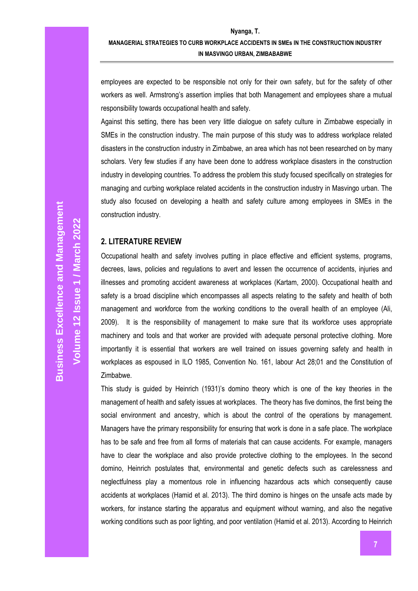employees are expected to be responsible not only for their own safety, but for the safety of other workers as well. Armstrong's assertion implies that both Management and employees share a mutual responsibility towards occupational health and safety.

Against this setting, there has been very little dialogue on safety culture in Zimbabwe especially in SMEs in the construction industry. The main purpose of this study was to address workplace related disasters in the construction industry in Zimbabwe, an area which has not been researched on by many scholars. Very few studies if any have been done to address workplace disasters in the construction industry in developing countries. To address the problem this study focused specifically on strategies for managing and curbing workplace related accidents in the construction industry in Masvingo urban. The study also focused on developing a health and safety culture among employees in SMEs in the construction industry.

#### **2. LITERATURE REVIEW**

Occupational health and safety involves putting in place effective and efficient systems, programs, decrees, laws, policies and regulations to avert and lessen the occurrence of accidents, injuries and illnesses and promoting accident awareness at workplaces (Kartam, 2000). Occupational health and safety is a broad discipline which encompasses all aspects relating to the safety and health of both management and workforce from the working conditions to the overall health of an employee (Ali, 2009). It is the responsibility of management to make sure that its workforce uses appropriate machinery and tools and that worker are provided with adequate personal protective clothing. More importantly it is essential that workers are well trained on issues governing safety and health in workplaces as espoused in ILO 1985, Convention No. 161, labour Act 28;01 and the Constitution of Zimbabwe.

This study is guided by Heinrich (1931)'s domino theory which is one of the key theories in the management of health and safety issues at workplaces. The theory has five dominos, the first being the social environment and ancestry, which is about the control of the operations by management. Managers have the primary responsibility for ensuring that work is done in a safe place. The workplace has to be safe and free from all forms of materials that can cause accidents. For example, managers have to clear the workplace and also provide protective clothing to the employees. In the second domino, Heinrich postulates that, environmental and genetic defects such as carelessness and neglectfulness play a momentous role in influencing hazardous acts which consequently cause accidents at workplaces (Hamid et al. 2013). The third domino is hinges on the unsafe acts made by workers, for instance starting the apparatus and equipment without warning, and also the negative working conditions such as poor lighting, and poor ventilation (Hamid et al. 2013). According to Heinrich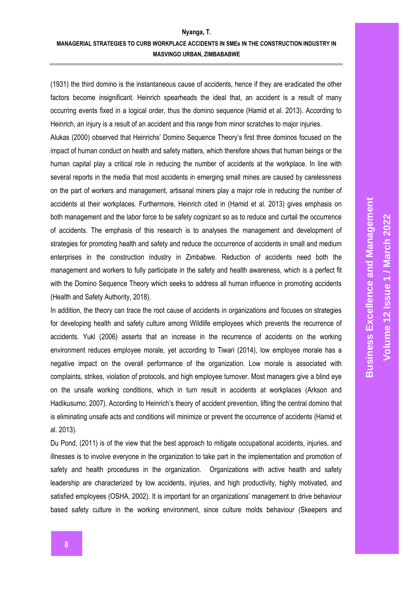(1931) the third domino is the instantaneous cause of accidents, hence if they are eradicated the other factors become insignificant. Heinrich spearheads the ideal that, an accident is a result of many occurring events fixed in a logical order, thus the domino sequence (Hamid et al. 2013). According to Heinrich, an injury is a result of an accident and this range from minor scratches to major injuries.

Alukas (2000) observed that Heinrichs' Domino Sequence Theory's first three dominos focused on the impact of human conduct on health and safety matters, which therefore shows that human beings or the human capital play a critical role in reducing the number of accidents at the workplace. In line with several reports in the media that most accidents in emerging small mines are caused by carelessness on the part of workers and management, artisanal miners play a major role in reducing the number of accidents at their workplaces. Furthermore, Heinrich cited in (Hamid et al. 2013) gives emphasis on both management and the labor force to be safety cognizant so as to reduce and curtail the occurrence of accidents. The emphasis of this research is to analyses the management and development of strategies for promoting health and safety and reduce the occurrence of accidents in small and medium enterprises in the construction industry in Zimbabwe. Reduction of accidents need both the management and workers to fully participate in the safety and health awareness, which is a perfect fit with the Domino Sequence Theory which seeks to address all human influence in promoting accidents (Health and Safety Authority, 2018).

In addition, the theory can trace the root cause of accidents in organizations and focuses on strategies for developing health and safety culture among Wildlife employees which prevents the recurrence of accidents. Yukl (2006) asserts that an increase in the recurrence of accidents on the working environment reduces employee morale, yet according to Tiwari (2014), low employee morale has a negative impact on the overall performance of the organization. Low morale is associated with complaints, strikes, violation of protocols, and high employee turnover. Most managers give a blind eye on the unsafe working conditions, which in turn result in accidents at workplaces (Arkson and Hadikusumo, 2007). According to Heinrich's theory of accident prevention, lifting the central domino that is eliminating unsafe acts and conditions will minimize or prevent the occurrence of accidents (Hamid et al. 2013).

Du Pond, (2011) is of the view that the best approach to mitigate occupational accidents, injuries, and illnesses is to involve everyone in the organization to take part in the implementation and promotion of safety and health procedures in the organization. Organizations with active health and safety leadership are characterized by low accidents, injuries, and high productivity, highly motivated, and satisfied employees (OSHA, 2002). It is important for an organizations' management to drive behaviour based safety culture in the working environment, since culture molds behaviour (Skeepers and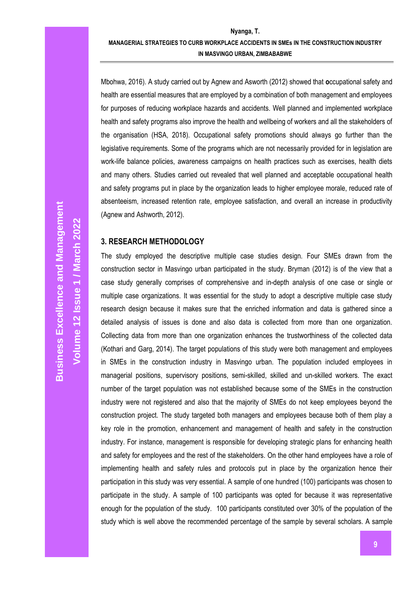Mbohwa, 2016). A study carried out by Agnew and Asworth (2012) showed that **o**ccupational safety and health are essential measures that are employed by a combination of both management and employees for purposes of reducing workplace hazards and accidents. Well planned and implemented workplace health and safety programs also improve the health and wellbeing of workers and all the stakeholders of the organisation (HSA, 2018). Occupational safety promotions should always go further than the legislative requirements. Some of the programs which are not necessarily provided for in legislation are work-life balance policies, awareness campaigns on health practices such as exercises, health diets and many others. Studies carried out revealed that well planned and acceptable occupational health and safety programs put in place by the organization leads to higher employee morale, reduced rate of absenteeism, increased retention rate, employee satisfaction, and overall an increase in productivity (Agnew and Ashworth, 2012).

#### **3. RESEARCH METHODOLOGY**

The study employed the descriptive multiple case studies design. Four SMEs drawn from the construction sector in Masvingo urban participated in the study. Bryman (2012) is of the view that a case study generally comprises of comprehensive and in-depth analysis of one case or single or multiple case organizations. It was essential for the study to adopt a descriptive multiple case study research design because it makes sure that the enriched information and data is gathered since a detailed analysis of issues is done and also data is collected from more than one organization. Collecting data from more than one organization enhances the trustworthiness of the collected data (Kothari and Garg, 2014). The target populations of this study were both management and employees in SMEs in the construction industry in Masvingo urban. The population included employees in managerial positions, supervisory positions, semi-skilled, skilled and un-skilled workers. The exact number of the target population was not established because some of the SMEs in the construction industry were not registered and also that the majority of SMEs do not keep employees beyond the construction project. The study targeted both managers and employees because both of them play a key role in the promotion, enhancement and management of health and safety in the construction industry. For instance, management is responsible for developing strategic plans for enhancing health and safety for employees and the rest of the stakeholders. On the other hand employees have a role of implementing health and safety rules and protocols put in place by the organization hence their participation in this study was very essential. A sample of one hundred (100) participants was chosen to participate in the study. A sample of 100 participants was opted for because it was representative enough for the population of the study. 100 participants constituted over 30% of the population of the study which is well above the recommended percentage of the sample by several scholars. A sample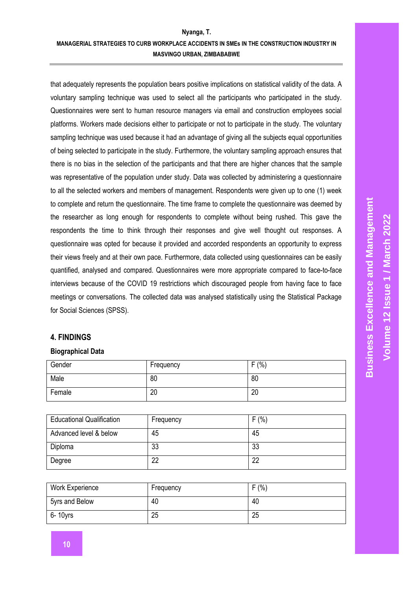that adequately represents the population bears positive implications on statistical validity of the data. A voluntary sampling technique was used to select all the participants who participated in the study. Questionnaires were sent to human resource managers via email and construction employees social platforms. Workers made decisions either to participate or not to participate in the study. The voluntary sampling technique was used because it had an advantage of giving all the subjects equal opportunities of being selected to participate in the study. Furthermore, the voluntary sampling approach ensures that there is no bias in the selection of the participants and that there are higher chances that the sample was representative of the population under study. Data was collected by administering a questionnaire to all the selected workers and members of management. Respondents were given up to one (1) week to complete and return the questionnaire. The time frame to complete the questionnaire was deemed by the researcher as long enough for respondents to complete without being rushed. This gave the respondents the time to think through their responses and give well thought out responses. A questionnaire was opted for because it provided and accorded respondents an opportunity to express their views freely and at their own pace. Furthermore, data collected using questionnaires can be easily quantified, analysed and compared. Questionnaires were more appropriate compared to face-to-face interviews because of the COVID 19 restrictions which discouraged people from having face to face meetings or conversations. The collected data was analysed statistically using the Statistical Package for Social Sciences (SPSS).

## **4. FINDINGS**

#### **Biographical Data**

| Gender | Frequency | (% )<br>Е |
|--------|-----------|-----------|
| Male   | 80        | 80        |
| Female | 20        | 20        |

| <b>Educational Qualification</b> | Frequency | F(% ) |
|----------------------------------|-----------|-------|
| Advanced level & below           | 45        | 45    |
| Diploma                          | 33        | 33    |
| Degree                           | 22        | 22    |

| Work Experience | Frequency | (% )<br>F |
|-----------------|-----------|-----------|
| 5yrs and Below  | 40        | 40        |
| 6-10yrs         | 25        | 25        |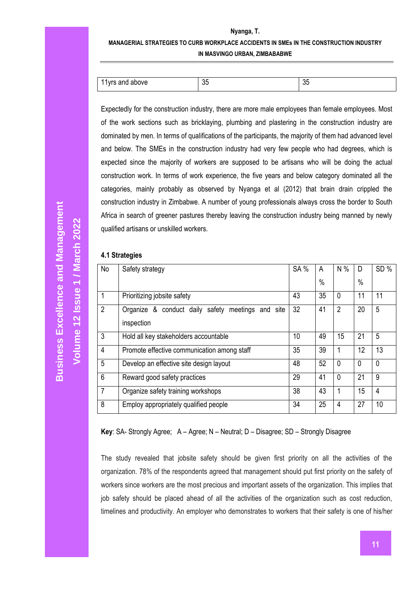#### **Nyanga, T.**

### **MANAGERIAL STRATEGIES TO CURB WORKPLACE ACCIDENTS IN SMEs IN THE CONSTRUCTION INDUSTRY IN MASVINGO URBAN, ZIMBABABWE**

| 11yrs ano<br>above | ັບ | <br>vu |
|--------------------|----|--------|
|                    |    |        |

Expectedly for the construction industry, there are more male employees than female employees. Most of the work sections such as bricklaying, plumbing and plastering in the construction industry are dominated by men. In terms of qualifications of the participants, the majority of them had advanced level and below. The SMEs in the construction industry had very few people who had degrees, which is expected since the majority of workers are supposed to be artisans who will be doing the actual construction work. In terms of work experience, the five years and below category dominated all the categories, mainly probably as observed by Nyanga et al (2012) that brain drain crippled the construction industry in Zimbabwe. A number of young professionals always cross the border to South Africa in search of greener pastures thereby leaving the construction industry being manned by newly qualified artisans or unskilled workers.

| No             | Safety strategy                                                 | SA % | A    | N%             | D    | SD%            |
|----------------|-----------------------------------------------------------------|------|------|----------------|------|----------------|
|                |                                                                 |      | $\%$ |                | $\%$ |                |
| 1              | Prioritizing jobsite safety                                     | 43   | 35   | $\mathbf 0$    | 11   | 11             |
| $\overline{2}$ | Organize & conduct daily safety meetings and site<br>inspection | 32   | 41   | $\overline{2}$ | 20   | 5              |
| 3              | Hold all key stakeholders accountable                           | 10   | 49   | 15             | 21   | 5              |
| 4              | Promote effective communication among staff                     | 35   | 39   |                | 12   | 13             |
| 5              | Develop an effective site design layout                         | 48   | 52   | $\mathbf 0$    | 0    | 0              |
| 6              | Reward good safety practices                                    | 29   | 41   | $\mathbf{0}$   | 21   | 9              |
| $\overline{7}$ | Organize safety training workshops                              | 38   | 43   |                | 15   | $\overline{4}$ |
| 8              | Employ appropriately qualified people                           | 34   | 25   | 4              | 27   | 10             |

#### **4.1 Strategies**

**Key**: SA- Strongly Agree; A – Agree; N – Neutral; D – Disagree; SD – Strongly Disagree

The study revealed that jobsite safety should be given first priority on all the activities of the organization. 78% of the respondents agreed that management should put first priority on the safety of workers since workers are the most precious and important assets of the organization. This implies that job safety should be placed ahead of all the activities of the organization such as cost reduction, timelines and productivity. An employer who demonstrates to workers that their safety is one of his/her

**Volume 12 Issue 1 / March 2022**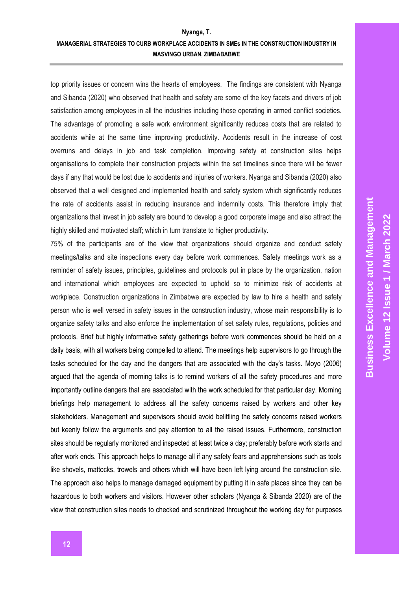#### **Nyanga, T.**

# **MANAGERIAL STRATEGIES TO CURB WORKPLACE ACCIDENTS IN SMEs IN THE CONSTRUCTION INDUSTRY IN MASVINGO URBAN, ZIMBABABWE**

top priority issues or concern wins the hearts of employees. The findings are consistent with Nyanga and Sibanda (2020) who observed that health and safety are some of the key facets and drivers of job satisfaction among employees in all the industries including those operating in armed conflict societies. The advantage of promoting a safe work environment significantly reduces costs that are related to accidents while at the same time improving productivity. Accidents result in the increase of cost overruns and delays in job and task completion. Improving safety at construction sites helps organisations to complete their construction projects within the set timelines since there will be fewer days if any that would be lost due to accidents and injuries of workers. Nyanga and Sibanda (2020) also observed that a well designed and implemented health and safety system which significantly reduces the rate of accidents assist in reducing insurance and indemnity costs. This therefore imply that organizations that invest in job safety are bound to develop a good corporate image and also attract the highly skilled and motivated staff; which in turn translate to higher productivity.

75% of the participants are of the view that organizations should organize and conduct safety meetings/talks and site inspections every day before work commences. Safety meetings work as a reminder of safety issues, principles, guidelines and protocols put in place by the organization, nation and international which employees are expected to uphold so to minimize risk of accidents at workplace. Construction organizations in Zimbabwe are expected by law to hire a health and safety person who is well versed in safety issues in the construction industry, whose main responsibility is to organize safety talks and also enforce the implementation of set safety rules, regulations, policies and protocols. Brief but highly informative safety gatherings before work commences should be held on a daily basis, with all workers being compelled to attend. The meetings help supervisors to go through the tasks scheduled for the day and the dangers that are associated with the day's tasks. Moyo (2006) argued that the agenda of morning talks is to remind workers of all the safety procedures and more importantly outline dangers that are associated with the work scheduled for that particular day. Morning briefings help management to address all the safety concerns raised by workers and other key stakeholders. Management and supervisors should avoid belittling the safety concerns raised workers but keenly follow the arguments and pay attention to all the raised issues. Furthermore, construction sites should be regularly monitored and inspected at least twice a day; preferably before work starts and after work ends. This approach helps to manage all if any safety fears and apprehensions such as tools like shovels, mattocks, trowels and others which will have been left lying around the construction site. The approach also helps to manage damaged equipment by putting it in safe places since they can be hazardous to both workers and visitors. However other scholars (Nyanga & Sibanda 2020) are of the view that construction sites needs to checked and scrutinized throughout the working day for purposes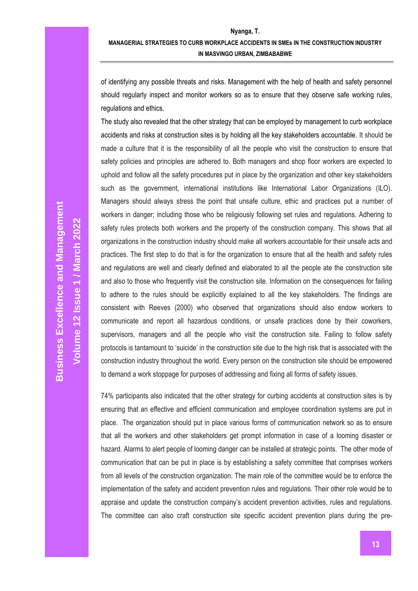of identifying any possible threats and risks. Management with the help of health and safety personnel should regularly inspect and monitor workers so as to ensure that they observe safe working rules, regulations and ethics.

The study also revealed that the other strategy that can be employed by management to curb workplace accidents and risks at construction sites is by holding all the key stakeholders accountable. It should be made a culture that it is the responsibility of all the people who visit the construction to ensure that safety policies and principles are adhered to. Both managers and shop floor workers are expected to uphold and follow all the safety procedures put in place by the organization and other key stakeholders such as the government, international institutions like International Labor Organizations (ILO). Managers should always stress the point that unsafe culture, ethic and practices put a number of workers in danger; including those who be religiously following set rules and regulations. Adhering to safety rules protects both workers and the property of the construction company. This shows that all organizations in the construction industry should make all workers accountable for their unsafe acts and practices. The first step to do that is for the organization to ensure that all the health and safety rules and regulations are well and clearly defined and elaborated to all the people ate the construction site and also to those who frequently visit the construction site. Information on the consequences for failing to adhere to the rules should be explicitly explained to all the key stakeholders. The findings are consistent with Reeves (2000) who observed that organizations should also endow workers to communicate and report all hazardous conditions, or unsafe practices done by their coworkers, supervisors, managers and all the people who visit the construction site. Failing to follow safety protocols is tantamount to 'suicide' in the construction site due to the high risk that is associated with the construction industry throughout the world. Every person on the construction site should be empowered to demand a work stoppage for purposes of addressing and fixing all forms of safety issues.

74% participants also indicated that the other strategy for curbing accidents at construction sites is by ensuring that an effective and efficient communication and employee coordination systems are put in place. The organization should put in place various forms of communication network so as to ensure that all the workers and other stakeholders get prompt information in case of a looming disaster or hazard. Alarms to alert people of looming danger can be installed at strategic points. The other mode of communication that can be put in place is by establishing a safety committee that comprises workers from all levels of the construction organization. The main role of the committee would be to enforce the implementation of the safety and accident prevention rules and regulations. Their other role would be to appraise and update the construction company's accident prevention activities, rules and regulations. The committee can also craft construction site specific accident prevention plans during the pre-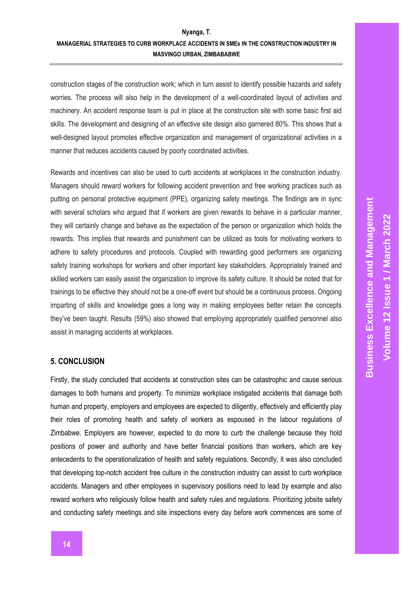construction stages of the construction work; which in turn assist to identify possible hazards and safety worries. The process will also help in the development of a well-coordinated layout of activities and machinery. An accident response team is put in place at the construction site with some basic first aid skills. The development and designing of an effective site design also garnered 80%. This shows that a well-designed layout promotes effective organization and management of organizational activities in a manner that reduces accidents caused by poorly coordinated activities.

Rewards and incentives can also be used to curb accidents at workplaces in the construction industry. Managers should reward workers for following accident prevention and free working practices such as putting on personal protective equipment (PPE), organizing safety meetings. The findings are in sync with several scholars who argued that if workers are given rewards to behave in a particular manner, they will certainly change and behave as the expectation of the person or organization which holds the rewards. This implies that rewards and punishment can be utilized as tools for motivating workers to adhere to safety procedures and protocols. Coupled with rewarding good performers are organizing safety training workshops for workers and other important key stakeholders. Appropriately trained and skilled workers can easily assist the organization to improve its safety culture. It should be noted that for trainings to be effective they should not be a one-off event but should be a continuous process. Ongoing imparting of skills and knowledge goes a long way in making employees better retain the concepts they've been taught. Results (59%) also showed that employing appropriately qualified personnel also assist in managing accidents at workplaces.

## **5. CONCLUSION**

Firstly, the study concluded that accidents at construction sites can be catastrophic and cause serious damages to both humans and property. To minimize workplace instigated accidents that damage both human and property, employers and employees are expected to diligently, effectively and efficiently play their roles of promoting health and safety of workers as espoused in the labour regulations of Zimbabwe. Employers are however, expected to do more to curb the challenge because they hold positions of power and authority and have better financial positions than workers, which are key antecedents to the operationalization of health and safety regulations. Secondly, it was also concluded that developing top-notch accident free culture in the construction industry can assist to curb workplace accidents. Managers and other employees in supervisory positions need to lead by example and also reward workers who religiously follow health and safety rules and regulations. Prioritizing jobsite safety and conducting safety meetings and site inspections every day before work commences are some of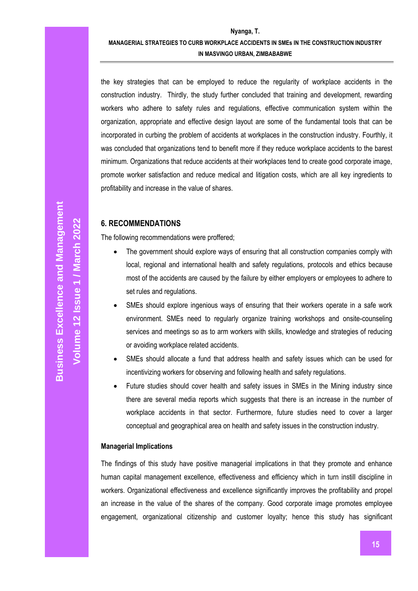the key strategies that can be employed to reduce the regularity of workplace accidents in the construction industry. Thirdly, the study further concluded that training and development, rewarding workers who adhere to safety rules and regulations, effective communication system within the organization, appropriate and effective design layout are some of the fundamental tools that can be incorporated in curbing the problem of accidents at workplaces in the construction industry. Fourthly, it was concluded that organizations tend to benefit more if they reduce workplace accidents to the barest minimum. Organizations that reduce accidents at their workplaces tend to create good corporate image, promote worker satisfaction and reduce medical and litigation costs, which are all key ingredients to profitability and increase in the value of shares.

## **6. RECOMMENDATIONS**

The following recommendations were proffered;

- The government should explore ways of ensuring that all construction companies comply with local, regional and international health and safety regulations, protocols and ethics because most of the accidents are caused by the failure by either employers or employees to adhere to set rules and regulations.
- SMEs should explore ingenious ways of ensuring that their workers operate in a safe work environment. SMEs need to regularly organize training workshops and onsite-counseling services and meetings so as to arm workers with skills, knowledge and strategies of reducing or avoiding workplace related accidents.
- SMEs should allocate a fund that address health and safety issues which can be used for incentivizing workers for observing and following health and safety regulations.
- Future studies should cover health and safety issues in SMEs in the Mining industry since there are several media reports which suggests that there is an increase in the number of workplace accidents in that sector. Furthermore, future studies need to cover a larger conceptual and geographical area on health and safety issues in the construction industry.

#### **Managerial Implications**

The findings of this study have positive managerial implications in that they promote and enhance human capital management excellence, effectiveness and efficiency which in turn instill discipline in workers. Organizational effectiveness and excellence significantly improves the profitability and propel an increase in the value of the shares of the company. Good corporate image promotes employee engagement, organizational citizenship and customer loyalty; hence this study has significant

**Volume 12 Issue 1 / March 2022**